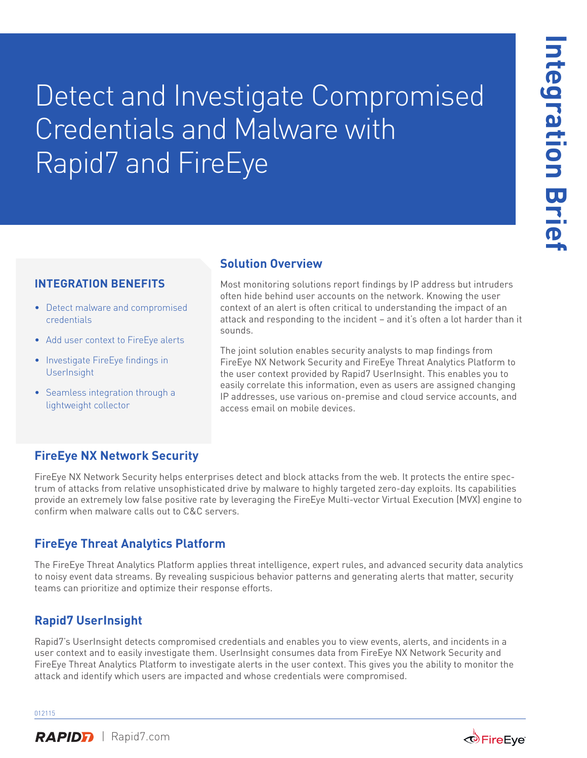# Detect and Investigate Compromised Credentials and Malware with Rapid7 and FireEye

#### **INTEGRATION BENEFITS**

- Detect malware and compromised credentials
- Add user context to FireEye alerts
- Investigate FireEye findings in **UserInsight**
- Seamless integration through a lightweight collector

#### **Solution Overview**

Most monitoring solutions report findings by IP address but intruders often hide behind user accounts on the network. Knowing the user context of an alert is often critical to understanding the impact of an attack and responding to the incident – and it's often a lot harder than it sounds.

The joint solution enables security analysts to map findings from FireEye NX Network Security and FireEye Threat Analytics Platform to the user context provided by Rapid7 UserInsight. This enables you to easily correlate this information, even as users are assigned changing IP addresses, use various on-premise and cloud service accounts, and access email on mobile devices.

## **FireEye NX Network Security**

FireEye NX Network Security helps enterprises detect and block attacks from the web. It protects the entire spectrum of attacks from relative unsophisticated drive by malware to highly targeted zero-day exploits. Its capabilities provide an extremely low false positive rate by leveraging the FireEye Multi-vector Virtual Execution (MVX) engine to confirm when malware calls out to C&C servers.

#### **FireEye Threat Analytics Platform**

The FireEye Threat Analytics Platform applies threat intelligence, expert rules, and advanced security data analytics to noisy event data streams. By revealing suspicious behavior patterns and generating alerts that matter, security teams can prioritize and optimize their response efforts.

## **Rapid7 UserInsight**

Rapid7's UserInsight detects compromised credentials and enables you to view events, alerts, and incidents in a user context and to easily investigate them. UserInsight consumes data from FireEye NX Network Security and FireEye Threat Analytics Platform to investigate alerts in the user context. This gives you the ability to monitor the attack and identify which users are impacted and whose credentials were compromised.

012115